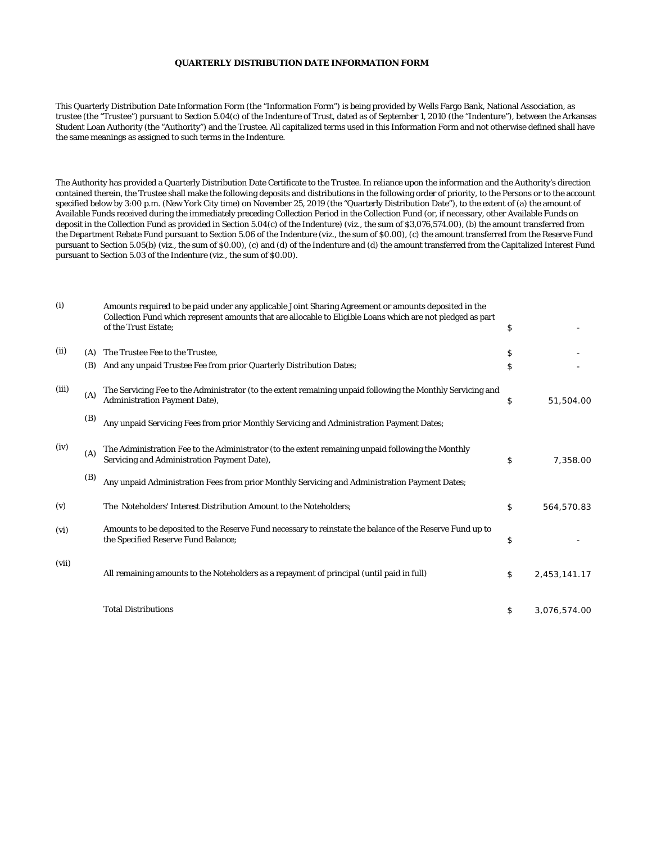## **QUARTERLY DISTRIBUTION DATE INFORMATION FORM**

This Quarterly Distribution Date Information Form (the "Information Form") is being provided by Wells Fargo Bank, National Association, as trustee (the "Trustee") pursuant to Section 5.04(c) of the Indenture of Trust, dated as of September 1, 2010 (the "Indenture"), between the Arkansas Student Loan Authority (the "Authority") and the Trustee. All capitalized terms used in this Information Form and not otherwise defined shall have the same meanings as assigned to such terms in the Indenture.

The Authority has provided a Quarterly Distribution Date Certificate to the Trustee. In reliance upon the information and the Authority's direction contained therein, the Trustee shall make the following deposits and distributions in the following order of priority, to the Persons or to the account specified below by 3:00 p.m. (New York City time) on November 25, 2019 (the "Quarterly Distribution Date"), to the extent of (a) the amount of Available Funds received during the immediately preceding Collection Period in the Collection Fund (or, if necessary, other Available Funds on deposit in the Collection Fund as provided in Section 5.04(c) of the Indenture) (viz., the sum of \$3,076,574.00), (b) the amount transferred from the Department Rebate Fund pursuant to Section 5.06 of the Indenture (viz., the sum of \$0.00), (c) the amount transferred from the Reserve Fund pursuant to Section 5.05(b) (viz., the sum of \$0.00), (c) and (d) of the Indenture and (d) the amount transferred from the Capitalized Interest Fund pursuant to Section 5.03 of the Indenture (viz., the sum of \$0.00).

| (i)   |     | Amounts required to be paid under any applicable Joint Sharing Agreement or amounts deposited in the<br>Collection Fund which represent amounts that are allocable to Eligible Loans which are not pledged as part<br>of the Trust Estate: | \$                 |
|-------|-----|--------------------------------------------------------------------------------------------------------------------------------------------------------------------------------------------------------------------------------------------|--------------------|
| (ii)  | (A) | The Trustee Fee to the Trustee.                                                                                                                                                                                                            | \$                 |
|       | (B) | And any unpaid Trustee Fee from prior Quarterly Distribution Dates;                                                                                                                                                                        | \$                 |
| (iii) | (A) | The Servicing Fee to the Administrator (to the extent remaining unpaid following the Monthly Servicing and<br><b>Administration Payment Date),</b>                                                                                         | \$<br>51,504.00    |
|       | (B) | Any unpaid Servicing Fees from prior Monthly Servicing and Administration Payment Dates;                                                                                                                                                   |                    |
| (iv)  | (A) | The Administration Fee to the Administrator (to the extent remaining unpaid following the Monthly<br>Servicing and Administration Payment Date),                                                                                           | \$<br>7,358.00     |
|       | (B) | Any unpaid Administration Fees from prior Monthly Servicing and Administration Payment Dates;                                                                                                                                              |                    |
| (v)   |     | The Noteholders' Interest Distribution Amount to the Noteholders;                                                                                                                                                                          | \$<br>564,570.83   |
| (vi)  |     | Amounts to be deposited to the Reserve Fund necessary to reinstate the balance of the Reserve Fund up to<br>the Specified Reserve Fund Balance;                                                                                            | \$                 |
| (vii) |     | All remaining amounts to the Noteholders as a repayment of principal (until paid in full)                                                                                                                                                  | \$<br>2,453,141.17 |
|       |     | <b>Total Distributions</b>                                                                                                                                                                                                                 | \$<br>3,076,574.00 |